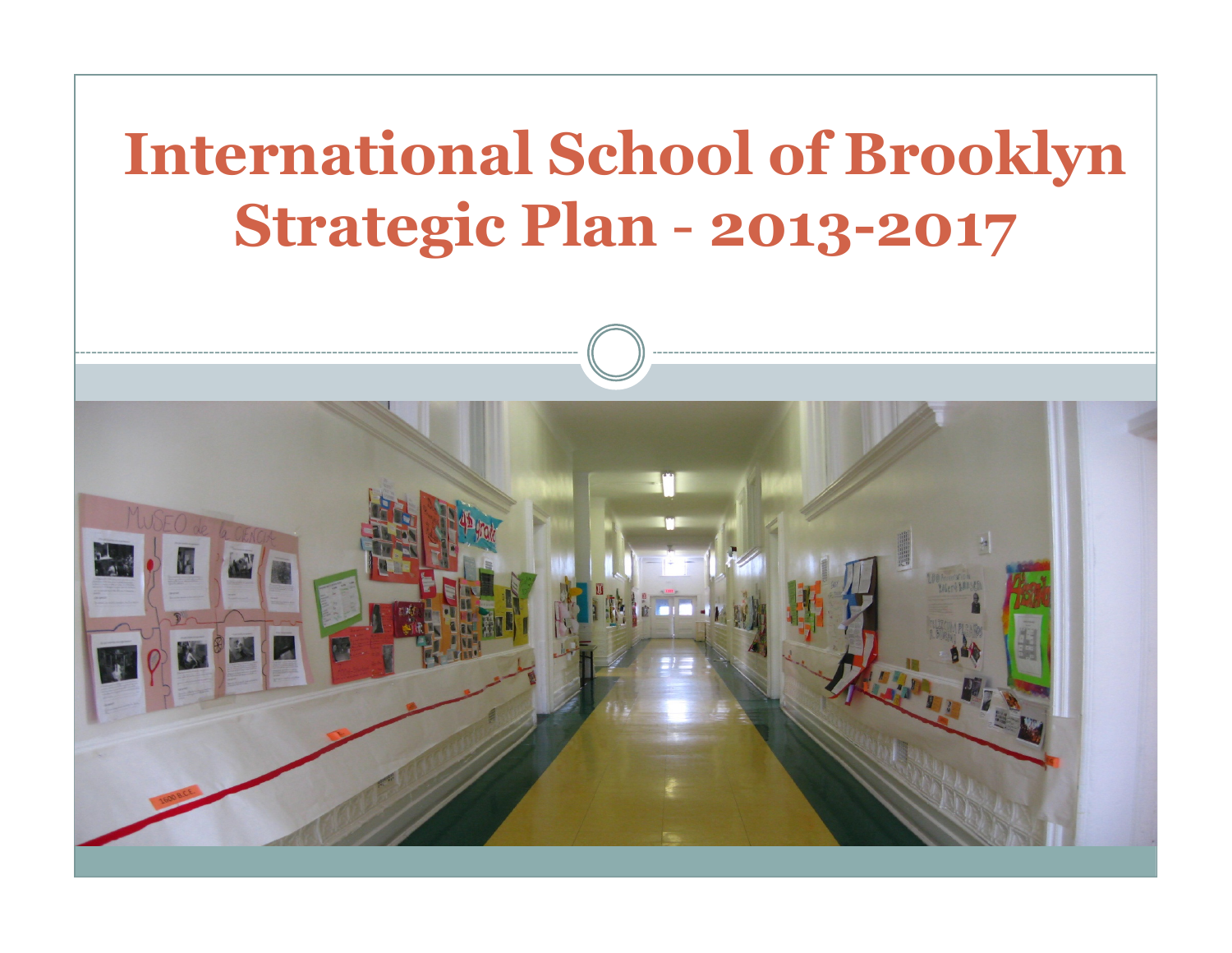### International School of BrooklynStrategic Plan2013-2017

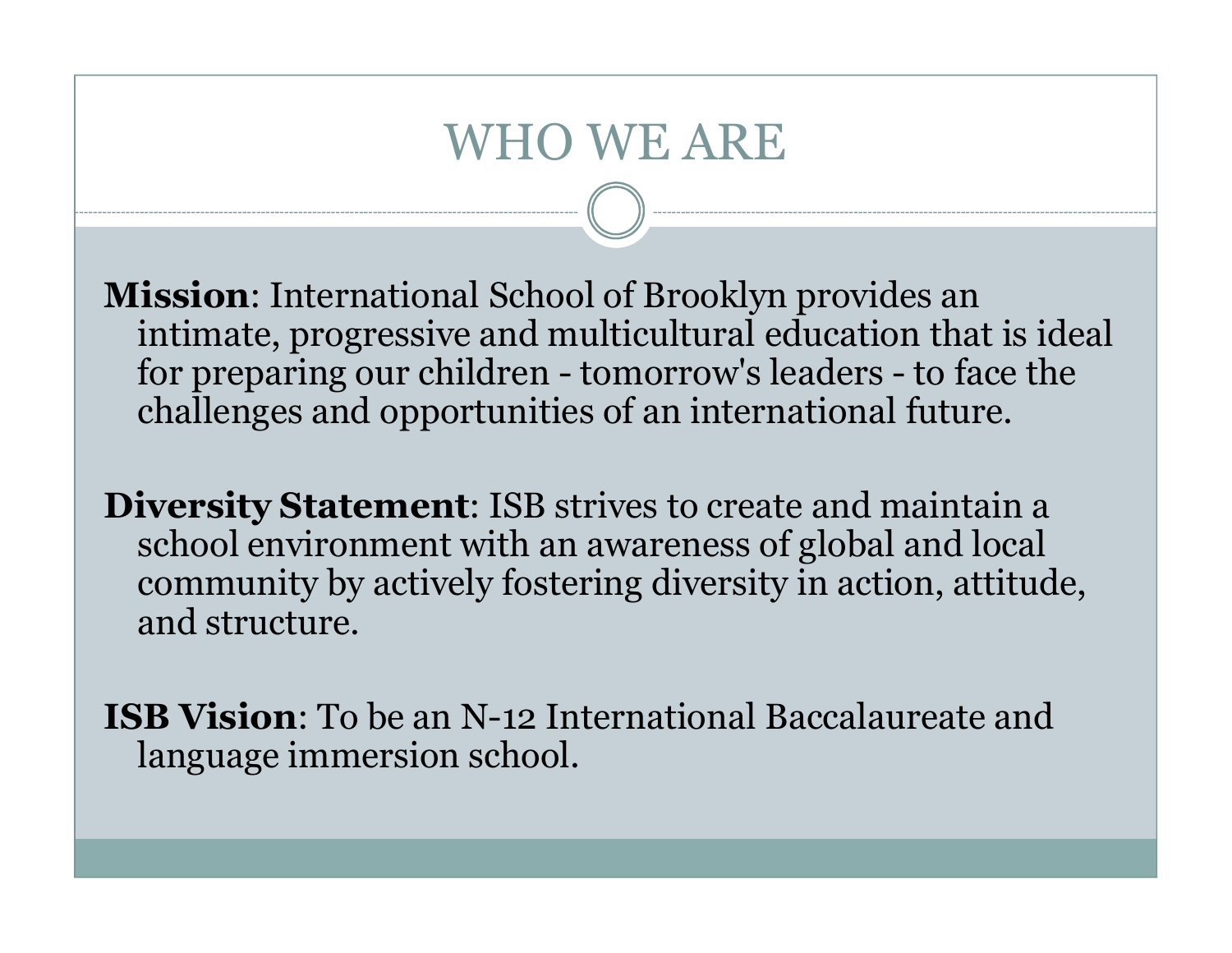## WHO WE ARE

Mission: International School of Brooklyn provides an intimate, progressive and multicultural education that is ideal for preparing our children - tomorrow's leaders - to face the challenges and opportunities of an international future.

Diversity Statement: ISB strives to create and maintain a school environment with an awareness of global and local community by actively fostering diversity in action, attitude, and structure.

ISB Vision: To be an N-12 International Baccalaureate and language immersion school.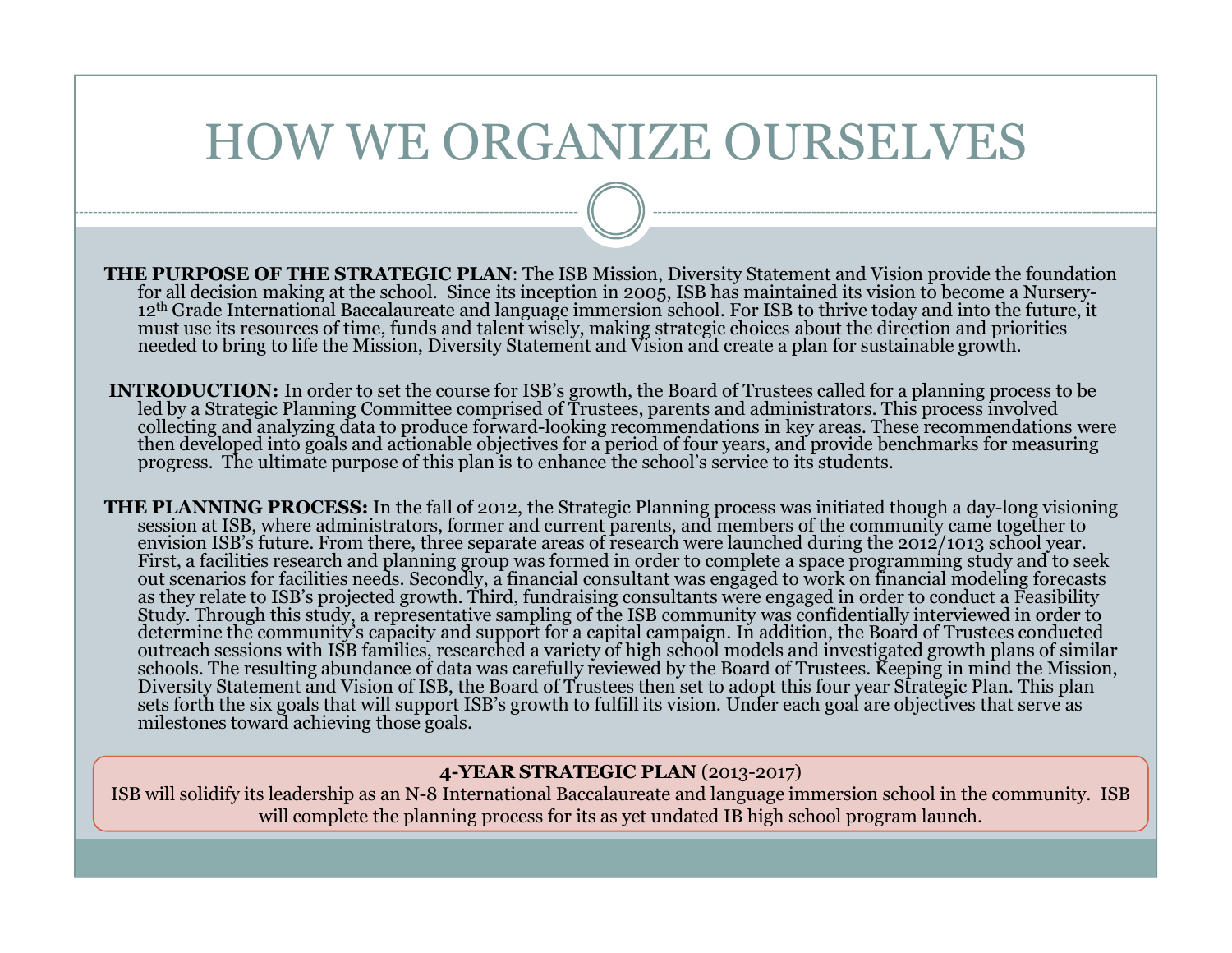## HOW WE ORGANIZE OURSELVES

- THE PURPOSE OF THE STRATEGIC PLAN: The ISB Mission, Diversity Statement and Vision provide the foundation for all decision making at the school. Since its inception in 2005, ISB has maintained its vision to become a Nursery-12<sup>th</sup> Grade International Baccalaureate and language immersion school. For ISB to thrive today and into the future, it<br>must use its resources of time, funds and talent wisely, making strategic choices about the direction
- INTRODUCTION: In order to set the course for ISB's growth, the Board of Trustees called for a planning process to beled by a Strategic Planning Committee comprised of Trustees, parents and administrators. This process involved<br>collecting and analyzing data to produce forward-looking recommendations in key areas. These recommendations we
- **THE PLANNING PROCESS:** In the fall of 2012, the Strategic Planning process was initiated though a day-long visioning session at ISB, where administrators, former and current parents, and members of the community came toge Diversity Statement and Vision of ISB, the Board of Trustees then set to adopt this four year Strategic Plan. This planets forth the six goals that will support ISB's growth to fulfill its vision. Under each goal are objec

### 4-YEAR STRATEGIC PLAN (2013-2017)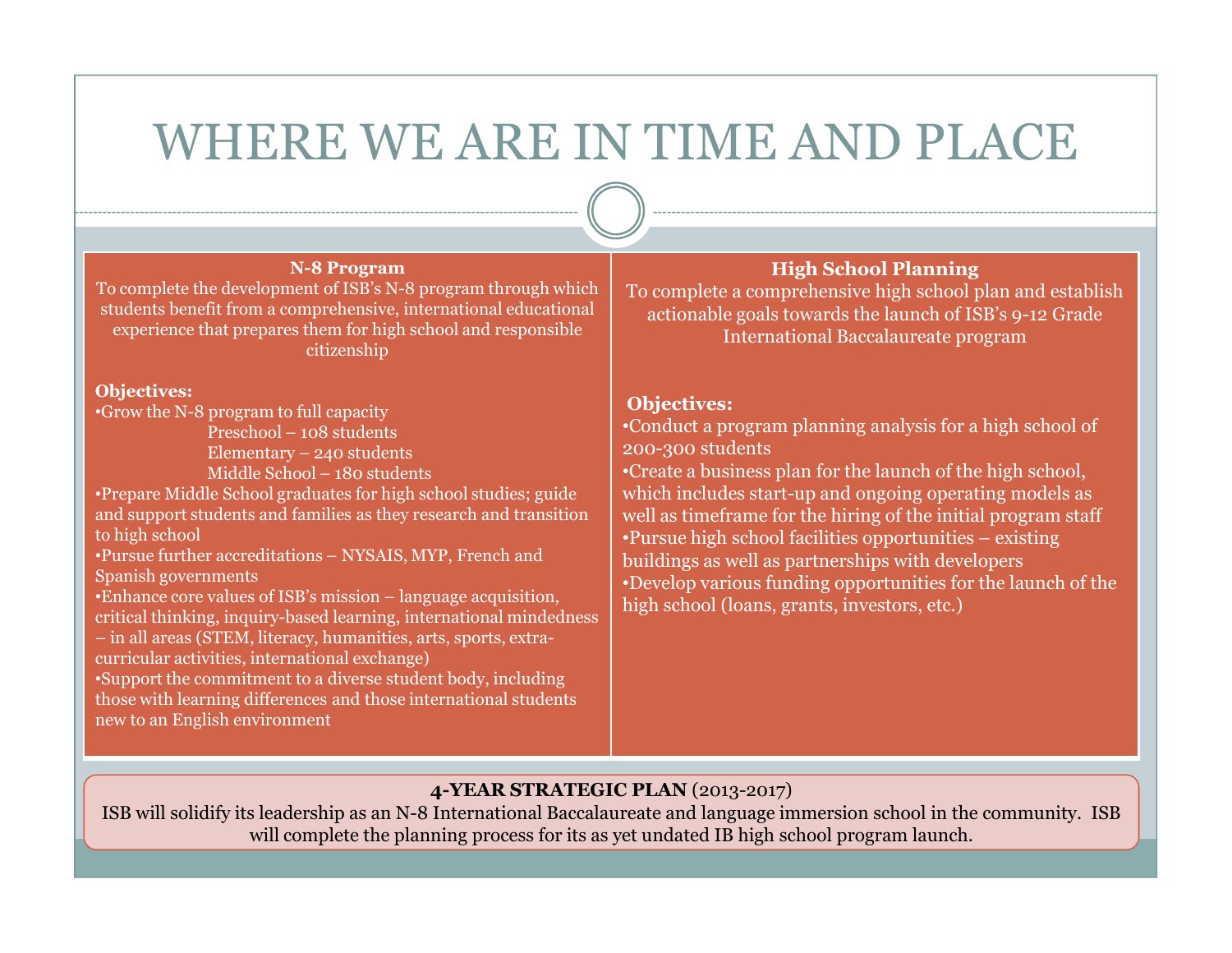## WHERE WE ARE IN TIME AND PLACE

#### N-8 Program

 To complete the development of ISB's N-8 program through which students benefit from a comprehensive, international educational experience that prepares them for high school and responsible citizenship

#### Objectives:

•Grow the N-8 program to full capacity

Preschool - 108 students Preschool – 108 students<br>Flementary – 240 studen

Elementary – 240 students

Middle School – 180 students

 •Prepare Middle School graduates for high school studies; guide and support students and families as they research and transition to high school

•Pursue further accreditations – NYSAIS, MYP, French and<br>Spanish governments Spanish governments

•Enhance core values of ISB's mission – language acquisition,

critical thinking, inquiry-based learning, international mindedness

– in all areas (STEM, literacy, humanities, arts, sports, extracurricular activities, international exchange)

 •Support the commitment to a diverse student body, including those with learning differences and those international students new to an English environment

### High School Planning

 To complete a comprehensive high school plan and establish actionable goals towards the launch of ISB's 9-12 Grade International Baccalaureate program

#### Objectives:

 •Conduct a program planning analysis for a high school of 200-300 students

 •Create a business plan for the launch of the high school, which includes start-up and ongoing operating models as well as timeframe for the hiring of the initial program staff•Pursue high school facilities opportunities – existing buildings as well as partnerships with developers •Develop various funding opportunities for the launch of the high school (loans, grants, investors, etc.)

### 4-YEAR STRATEGIC PLAN (2013-2017)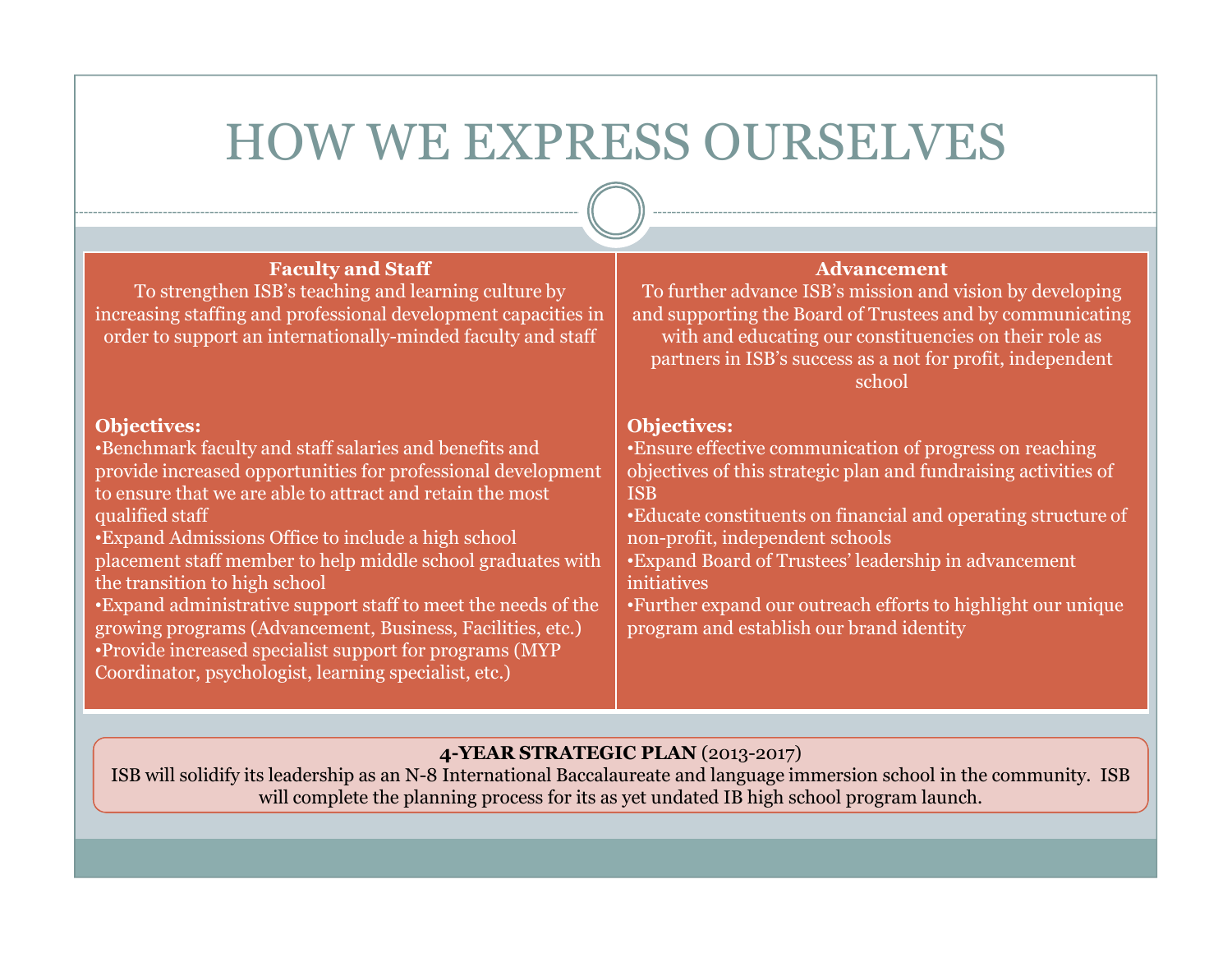## HOW WE EXPRESS OURSELVES

| <b>Faculty and Staff</b><br>To strengthen ISB's teaching and learning culture by<br>increasing staffing and professional development capacities in<br>order to support an internationally-minded faculty and staff                                                                                                                                                                                                                                                                                                                                                                                                                          | <b>Advancement</b><br>To further advance ISB's mission and vision by developing<br>and supporting the Board of Trustees and by communicating<br>with and educating our constituencies on their role as<br>partners in ISB's success as a not for profit, independent<br>school                                                                                                                                                                           |
|---------------------------------------------------------------------------------------------------------------------------------------------------------------------------------------------------------------------------------------------------------------------------------------------------------------------------------------------------------------------------------------------------------------------------------------------------------------------------------------------------------------------------------------------------------------------------------------------------------------------------------------------|----------------------------------------------------------------------------------------------------------------------------------------------------------------------------------------------------------------------------------------------------------------------------------------------------------------------------------------------------------------------------------------------------------------------------------------------------------|
| <b>Objectives:</b><br>•Benchmark faculty and staff salaries and benefits and<br>provide increased opportunities for professional development<br>to ensure that we are able to attract and retain the most<br>qualified staff<br><b>Expand Admissions Office to include a high school</b><br>placement staff member to help middle school graduates with<br>the transition to high school<br>•Expand administrative support staff to meet the needs of the<br>growing programs (Advancement, Business, Facilities, etc.)<br>•Provide increased specialist support for programs (MYP<br>Coordinator, psychologist, learning specialist, etc.) | <b>Objectives:</b><br>• Ensure effective communication of progress on reaching<br>objectives of this strategic plan and fundraising activities of<br><b>ISB</b><br>• Educate constituents on financial and operating structure of<br>non-profit, independent schools<br>•Expand Board of Trustees' leadership in advancement<br>initiatives<br>• Further expand our outreach efforts to highlight our unique<br>program and establish our brand identity |

### 4-YEAR STRATEGIC PLAN (2013-2017)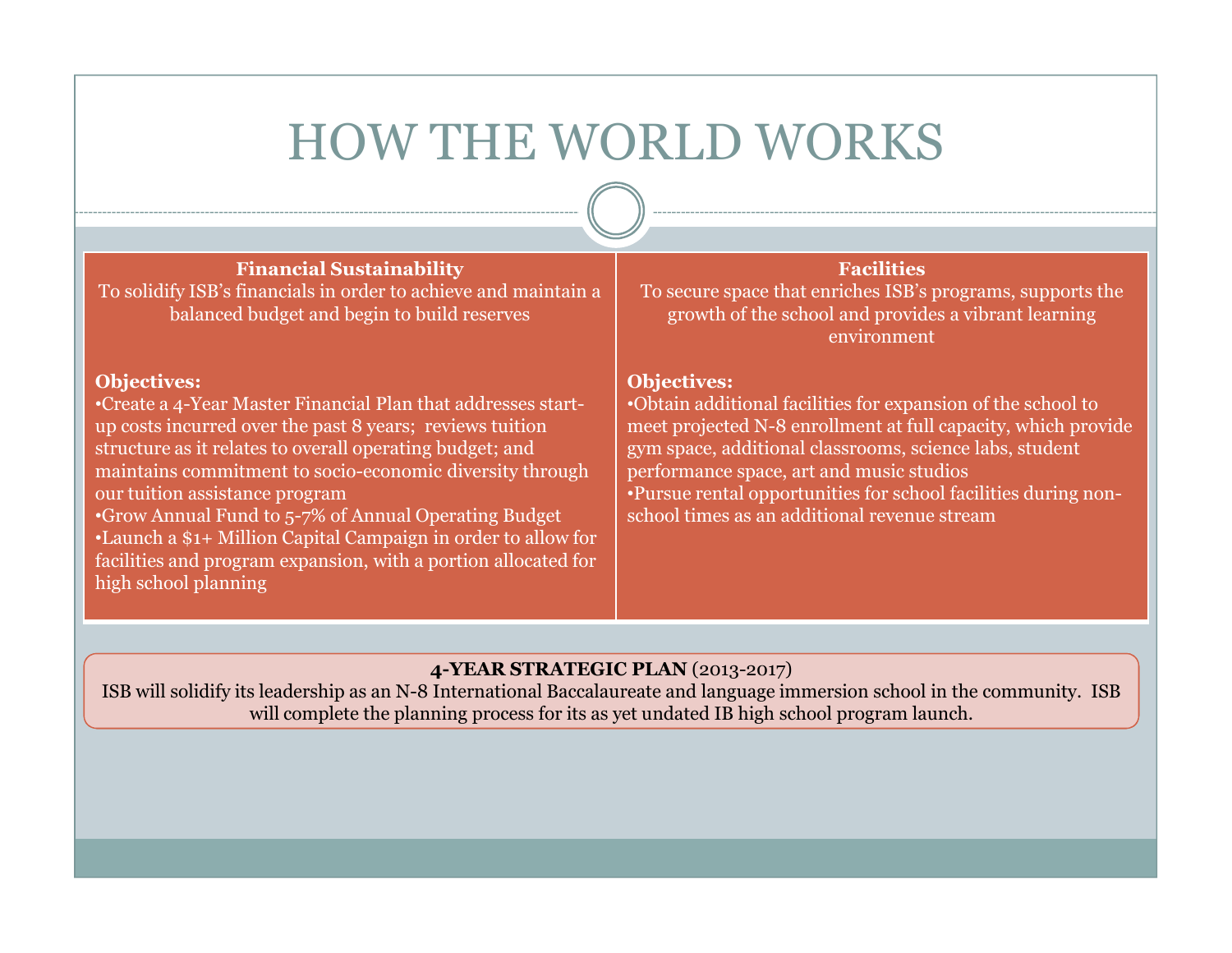# HOW THE WORLD WORKS

#### Financial Sustainability

 To solidify ISB's financials in order to achieve and maintain a balanced budget and begin to build reserves

#### Objectives:

 •Create a 4-Year Master Financial Plan that addresses startup costs incurred over the past 8 years; reviews tuition structure as it relates to overall operating budget; and maintains commitment to socio-economic diversity through our tuition assistance program

 •Grow Annual Fund to 5-7% of Annual Operating Budget •Launch a \$1+ Million Capital Campaign in order to allow for facilities and program expansion, with a portion allocated for high school planning

### Facilities

 To secure space that enriches ISB's programs, supports the growth of the school and provides a vibrant learning environment

#### Objectives:

 •Obtain additional facilities for expansion of the school to meet projected N-8 enrollment at full capacity, which provide gym space, additional classrooms, science labs, student performance space, art and music studios •Pursue rental opportunities for school facilities during nonschool times as an additional revenue stream

### 4-YEAR STRATEGIC PLAN (2013-2017)